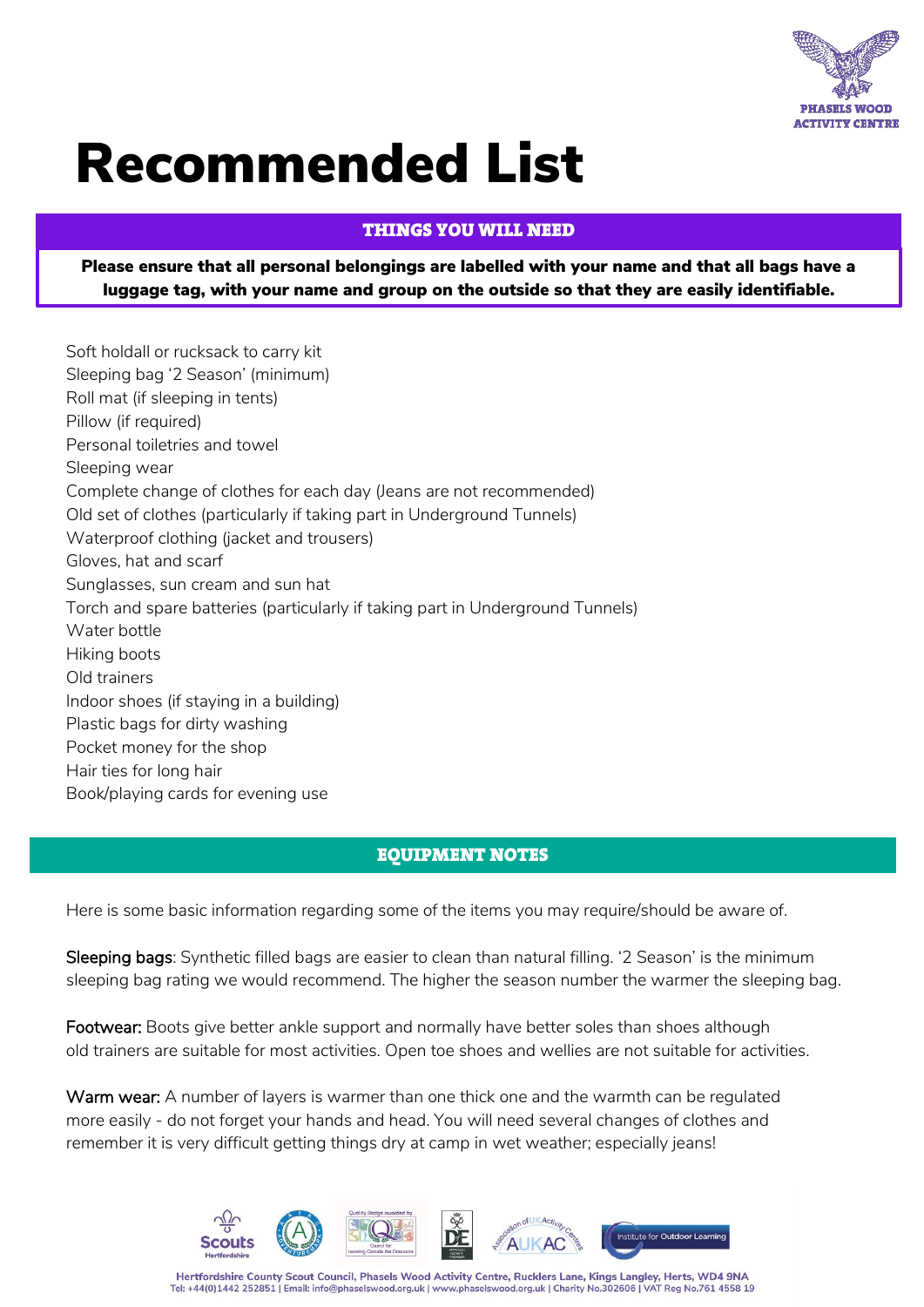

## Recommended List

## **THINGS YOU WILL NEED** This is a set of the set of the set of the set of the set of the set of the set of the set of the set of the set of the set of the set of the set of the set of the set of the set of the set of the set of the set of the se

Please ensure that all personal belongings are labelled with your name and that all bags have a luggage tag, with your name and group on the outside so that they are easily identifiable.

Soft holdall or rucksack to carry kit Sleeping bag '2 Season' (minimum) Roll mat (if sleeping in tents) Pillow (if required) Personal toiletries and towel Sleeping wear Complete change of clothes for each day (Jeans are not recommended) Old set of clothes (particularly if taking part in Underground Tunnels) Waterproof clothing (jacket and trousers) Gloves, hat and scarf Sunglasses, sun cream and sun hat Torch and spare batteries (particularly if taking part in Underground Tunnels) Water bottle Hiking boots Old trainers Indoor shoes (if staying in a building) Plastic bags for dirty washing Pocket money for the shop Hair ties for long hair Book/playing cards for evening use

## EQUIPMENT NOTES

Here is some basic information regarding some of the items you may require/should be aware of.

Sleeping bags: Synthetic filled bags are easier to clean than natural filling. '2 Season' is the minimum sleeping bag rating we would recommend. The higher the season number the warmer the sleeping bag.

Footwear: Boots give better ankle support and normally have better soles than shoes although old trainers are suitable for most activities. Open toe shoes and wellies are not suitable for activities.

Warm wear: A number of layers is warmer than one thick one and the warmth can be regulated more easily - do not forget your hands and head. You will need several changes of clothes and remember it is very difficult getting things dry at camp in wet weather; especially jeans!